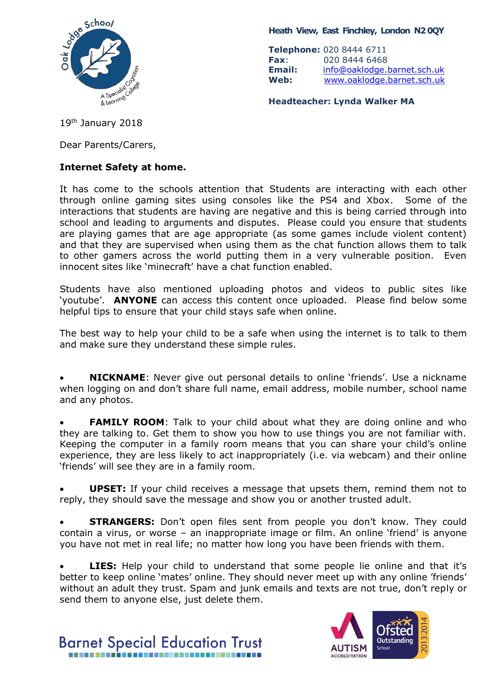

**Heath View, East Finchley, London N2 0QY**

**Telephone:** 020 8444 6711 **Fax**: 020 8444 6468 **Email:** [info@oaklodge.barnet.sch.uk](mailto:info@oaklodge.barnet.sch.uk) **Web:** [www.oaklodge.barnet.sch.uk](http://www.oaklodge.barnet.sch.uk/)

**Headteacher: Lynda Walker MA**

19<sup>th</sup> January 2018

Dear Parents/Carers,

## **Internet Safety at home.**

It has come to the schools attention that Students are interacting with each other through online gaming sites using consoles like the PS4 and Xbox. Some of the interactions that students are having are negative and this is being carried through into school and leading to arguments and disputes. Please could you ensure that students are playing games that are age appropriate (as some games include violent content) and that they are supervised when using them as the chat function allows them to talk to other gamers across the world putting them in a very vulnerable position. Even innocent sites like 'minecraft' have a chat function enabled.

Students have also mentioned uploading photos and videos to public sites like 'youtube'. **ANYONE** can access this content once uploaded. Please find below some helpful tips to ensure that your child stays safe when online.

The best way to help your child to be a safe when using the internet is to talk to them and make sure they understand these simple rules.

• **NICKNAME**: Never give out personal details to online 'friends'. Use a nickname when logging on and don't share full name, email address, mobile number, school name and any photos.

**FAMILY ROOM:** Talk to your child about what they are doing online and who they are talking to. Get them to show you how to use things you are not familiar with. Keeping the computer in a family room means that you can share your child's online experience, they are less likely to act inappropriately (i.e. via webcam) and their online 'friends' will see they are in a family room.

• **UPSET:** If your child receives a message that upsets them, remind them not to reply, they should save the message and show you or another trusted adult.

**STRANGERS:** Don't open files sent from people you don't know. They could contain a virus, or worse – an inappropriate image or film. An online 'friend' is anyone you have not met in real life; no matter how long you have been friends with them.

**LIES:** Help your child to understand that some people lie online and that it's better to keep online 'mates' online. They should never meet up with any online 'friends' without an adult they trust. Spam and junk emails and texts are not true, don't reply or send them to anyone else, just delete them.